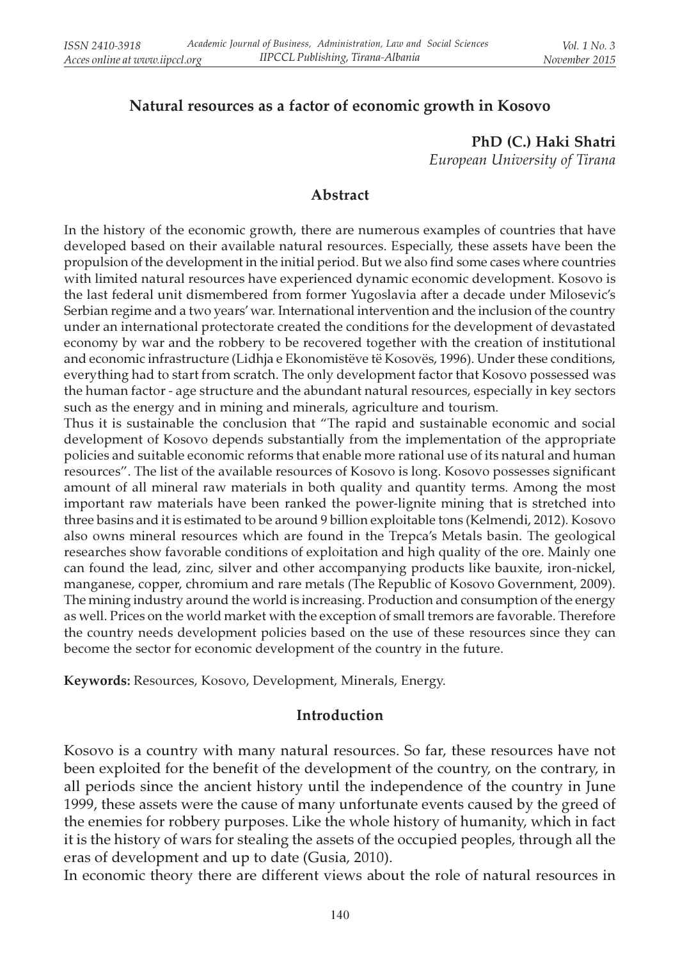### Natural resources as a factor of economic growth in Kosovo

PhD (C.) Haki Shatri European University of Tirana

### Abstract

In the history of the economic growth, there are numerous examples of countries that have developed based on their available natural resources. Especially, these assets have been the propulsion of the development in the initial period. But we also find some cases where countries with limited natural resources have experienced dynamic economic development. Kosovo is the last federal unit dismembered from former Yugoslavia after a decade under Milosevic's Serbian regime and a two years' war. International intervention and the inclusion of the country under an international protectorate created the conditions for the development of devastated economy by war and the robbery to be recovered together with the creation of institutional and economic infrastructure (Lidhja e Ekonomistëve të Kosovës, 1996). Under these conditions, everything had to start from scratch. The only development factor that Kosovo possessed was the human factor - age structure and the abundant natural resources, especially in key sectors such as the energy and in mining and minerals, agriculture and tourism.

Thus it is sustainable the conclusion that "The rapid and sustainable economic and social development of Kosovo depends substantially from the implementation of the appropriate policies and suitable economic reforms that enable more rational use of its natural and human resources". The list of the available resources of Kosovo is long. Kosovo possesses significant amount of all mineral raw materials in both quality and quantity terms. Among the most important raw materials have been ranked the power-lignite mining that is stretched into three basins and it is estimated to be around 9 billion exploitable tons (Kelmendi, 2012). Kosovo also owns mineral resources which are found in the Trepca's Metals basin. The geological researches show favorable conditions of exploitation and high quality of the ore. Mainly one can found the lead, zinc, silver and other accompanying products like bauxite, iron-nickel, manganese, copper, chromium and rare metals (The Republic of Kosovo Government, 2009). The mining industry around the world is increasing. Production and consumption of the energy as well. Prices on the world market with the exception of small tremors are favorable. Therefore the country needs development policies based on the use of these resources since they can become the sector for economic development of the country in the future.

Keywords: Resources, Kosovo, Development, Minerals, Energy.

#### Introduction

Kosovo is a country with many natural resources. So far, these resources have not been exploited for the benefit of the development of the country, on the contrary, in all periods since the ancient history until the independence of the country in June 1999, these assets were the cause of many unfortunate events caused by the greed of the enemies for robbery purposes. Like the whole history of humanity, which in fact it is the history of wars for stealing the assets of the occupied peoples, through all the eras of development and up to date (Gusia, 2010).

In economic theory there are different views about the role of natural resources in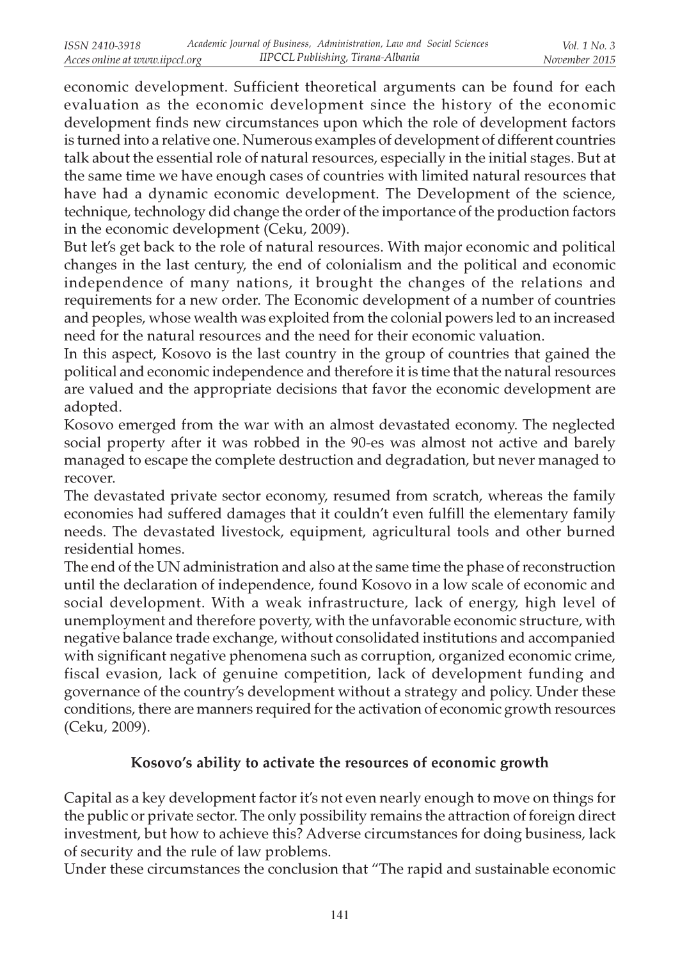economic development. Sufficient theoretical arguments can be found for each evaluation as the economic development since the history of the economic development finds new circumstances upon which the role of development factors is turned into a relative one. Numerous examples of development of different countries talk about the essential role of natural resources, especially in the initial stages. But at the same time we have enough cases of countries with limited natural resources that have had a dynamic economic development. The Development of the science, technique, technology did change the order of the importance of the production factors in the economic development (Ceku, 2009).

But let's get back to the role of natural resources. With major economic and political changes in the last century, the end of colonialism and the political and economic independence of many nations, it brought the changes of the relations and requirements for a new order. The Economic development of a number of countries and peoples, whose wealth was exploited from the colonial powers led to an increased need for the natural resources and the need for their economic valuation.

In this aspect, Kosovo is the last country in the group of countries that gained the political and economic independence and therefore it is time that the natural resources are valued and the appropriate decisions that favor the economic development are adopted.

Kosovo emerged from the war with an almost devastated economy. The neglected social property after it was robbed in the 90-es was almost not active and barely managed to escape the complete destruction and degradation, but never managed to recover.

The devastated private sector economy, resumed from scratch, whereas the family economies had suffered damages that it couldn't even fulfill the elementary family needs. The devastated livestock, equipment, agricultural tools and other burned residential homes.

The end of the UN administration and also at the same time the phase of reconstruction until the declaration of independence, found Kosovo in a low scale of economic and social development. With a weak infrastructure, lack of energy, high level of unemployment and therefore poverty, with the unfavorable economic structure, with negative balance trade exchange, without consolidated institutions and accompanied with significant negative phenomena such as corruption, organized economic crime, fiscal evasion, lack of genuine competition, lack of development funding and governance of the country's development without a strategy and policy. Under these conditions, there are manners required for the activation of economic growth resources (Ceku, 2009).

# Kosovo's ability to activate the resources of economic growth

Capital as a key development factor it's not even nearly enough to move on things for the public or private sector. The only possibility remains the attraction of foreign direct investment, but how to achieve this? Adverse circumstances for doing business, lack of security and the rule of law problems.

Under these circumstances the conclusion that "The rapid and sustainable economic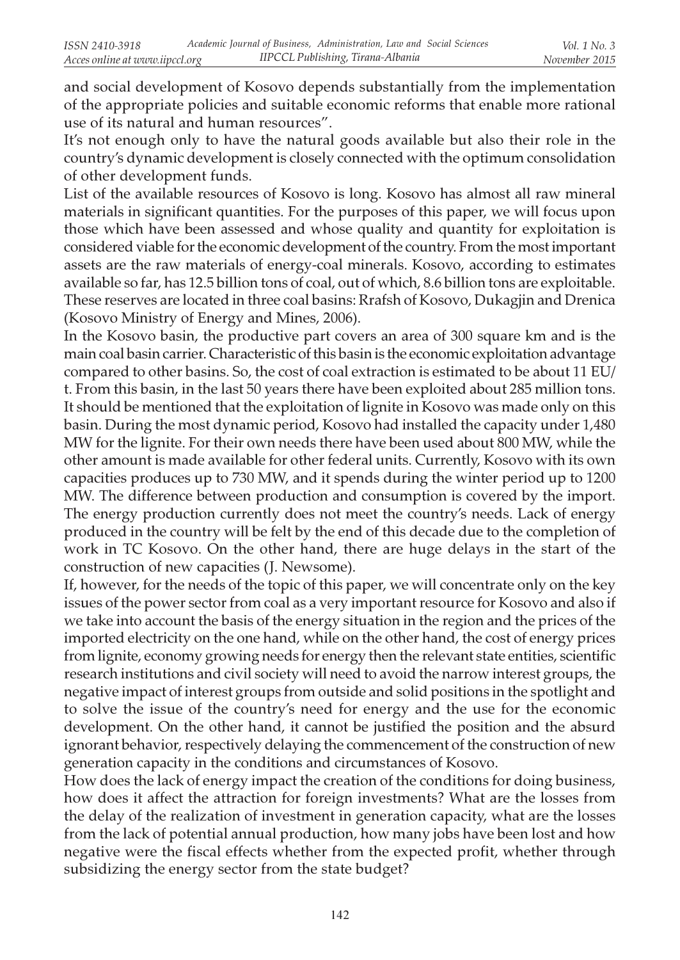and social development of Kosovo depends substantially from the implementation of the appropriate policies and suitable economic reforms that enable more rational use of its natural and human resources".

It's not enough only to have the natural goods available but also their role in the country's dynamic development is closely connected with the optimum consolidation of other development funds.

List of the available resources of Kosovo is long. Kosovo has almost all raw mineral materials in significant quantities. For the purposes of this paper, we will focus upon those which have been assessed and whose quality and quantity for exploitation is considered viable for the economic development of the country. From the most important assets are the raw materials of energy-coal minerals. Kosovo, according to estimates available so far, has 12.5 billion tons of coal, out of which, 8.6 billion tons are exploitable. These reserves are located in three coal basins: Rrafsh of Kosovo, Dukagjin and Drenica (Kosovo Ministry of Energy and Mines, 2006).

In the Kosovo basin, the productive part covers an area of 300 square km and is the main coal basin carrier. Characteristic of this basin is the economic exploitation advantage compared to other basins. So, the cost of coal extraction is estimated to be about 11 EU/ t. From this basin, in the last 50 years there have been exploited about 285 million tons. It should be mentioned that the exploitation of lignite in Kosovo was made only on this basin. During the most dynamic period, Kosovo had installed the capacity under 1,480 MW for the lignite. For their own needs there have been used about 800 MW, while the other amount is made available for other federal units. Currently, Kosovo with its own capacities produces up to 730 MW, and it spends during the winter period up to 1200 MW. The difference between production and consumption is covered by the import. The energy production currently does not meet the country's needs. Lack of energy produced in the country will be felt by the end of this decade due to the completion of work in TC Kosovo. On the other hand, there are huge delays in the start of the construction of new capacities (J. Newsome).

If, however, for the needs of the topic of this paper, we will concentrate only on the key issues of the power sector from coal as a very important resource for Kosovo and also if we take into account the basis of the energy situation in the region and the prices of the imported electricity on the one hand, while on the other hand, the cost of energy prices from lignite, economy growing needs for energy then the relevant state entities, scientific research institutions and civil society will need to avoid the narrow interest groups, the negative impact of interest groups from outside and solid positions in the spotlight and to solve the issue of the country's need for energy and the use for the economic development. On the other hand, it cannot be justified the position and the absurd ignorant behavior, respectively delaying the commencement of the construction of new generation capacity in the conditions and circumstances of Kosovo.

How does the lack of energy impact the creation of the conditions for doing business, how does it affect the attraction for foreign investments? What are the losses from the delay of the realization of investment in generation capacity, what are the losses from the lack of potential annual production, how many jobs have been lost and how negative were the fiscal effects whether from the expected profit, whether through subsidizing the energy sector from the state budget?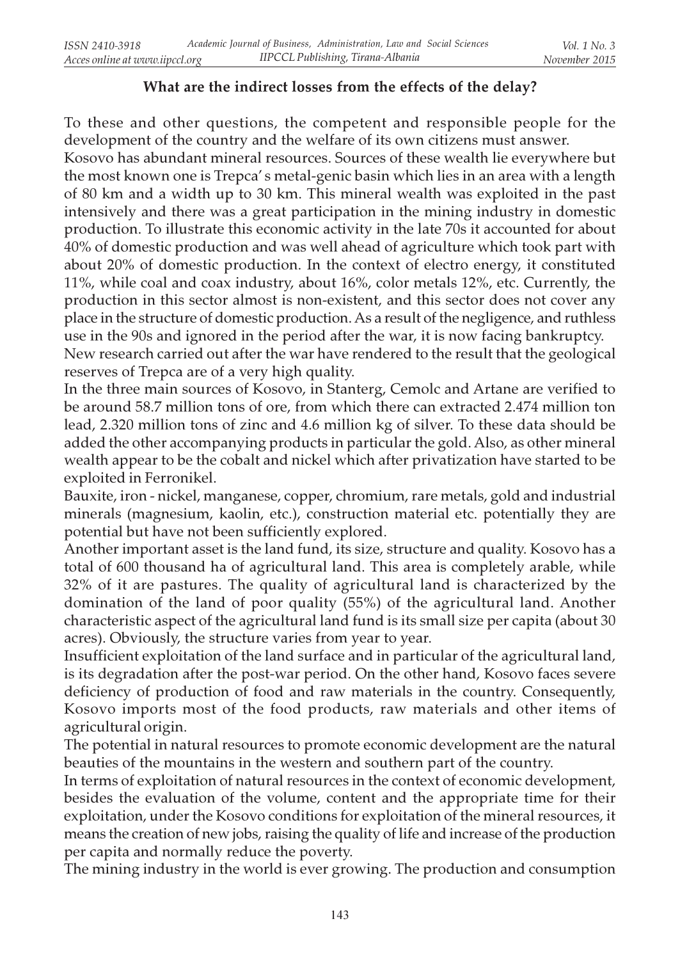# What are the indirect losses from the effects of the delay?

To these and other questions, the competent and responsible people for the development of the country and the welfare of its own citizens must answer.

Kosovo has abundant mineral resources. Sources of these wealth lie everywhere but the most known one is Trepca' s metal-genic basin which lies in an area with a length of 80 km and a width up to 30 km. This mineral wealth was exploited in the past intensively and there was a great participation in the mining industry in domestic production. To illustrate this economic activity in the late 70s it accounted for about 40% of domestic production and was well ahead of agriculture which took part with about 20% of domestic production. In the context of electro energy, it constituted 11%, while coal and coax industry, about 16%, color metals 12%, etc. Currently, the production in this sector almost is non-existent, and this sector does not cover any place in the structure of domestic production. As a result of the negligence, and ruthless use in the 90s and ignored in the period after the war, it is now facing bankruptcy.

New research carried out after the war have rendered to the result that the geological reserves of Trepca are of a very high quality.

In the three main sources of Kosovo, in Stanterg, Cemolc and Artane are verified to be around 58.7 million tons of ore, from which there can extracted 2.474 million ton lead, 2.320 million tons of zinc and 4.6 million kg of silver. To these data should be added the other accompanying products in particular the gold. Also, as other mineral wealth appear to be the cobalt and nickel which after privatization have started to be exploited in Ferronikel.

Bauxite, iron - nickel, manganese, copper, chromium, rare metals, gold and industrial minerals (magnesium, kaolin, etc.), construction material etc. potentially they are potential but have not been sufficiently explored.

Another important asset is the land fund, its size, structure and quality. Kosovo has a total of 600 thousand ha of agricultural land. This area is completely arable, while 32% of it are pastures. The quality of agricultural land is characterized by the domination of the land of poor quality (55%) of the agricultural land. Another characteristic aspect of the agricultural land fund is its small size per capita (about 30 acres). Obviously, the structure varies from year to year.

Insufficient exploitation of the land surface and in particular of the agricultural land, is its degradation after the post-war period. On the other hand, Kosovo faces severe deficiency of production of food and raw materials in the country. Consequently, Kosovo imports most of the food products, raw materials and other items of agricultural origin.

The potential in natural resources to promote economic development are the natural beauties of the mountains in the western and southern part of the country.

In terms of exploitation of natural resources in the context of economic development, besides the evaluation of the volume, content and the appropriate time for their exploitation, under the Kosovo conditions for exploitation of the mineral resources, it means the creation of new jobs, raising the quality of life and increase of the production per capita and normally reduce the poverty.

The mining industry in the world is ever growing. The production and consumption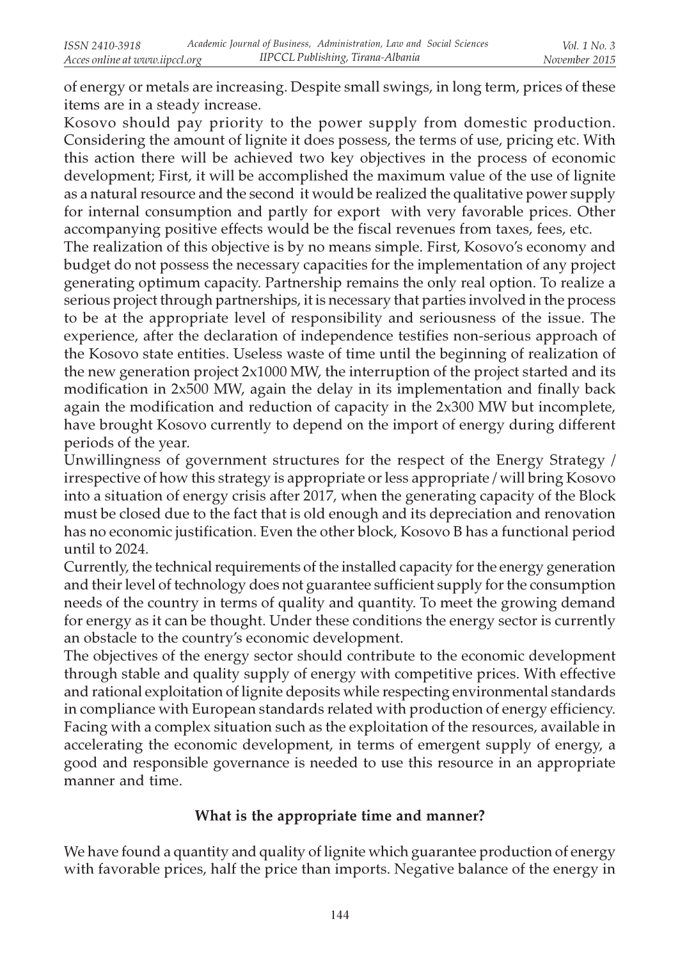of energy or metals are increasing. Despite small swings, in long term, prices of these items are in a steady increase.

Kosovo should pay priority to the power supply from domestic production. Considering the amount of lignite it does possess, the terms of use, pricing etc. With this action there will be achieved two key objectives in the process of economic development; First, it will be accomplished the maximum value of the use of lignite as a natural resource and the second it would be realized the qualitative power supply for internal consumption and partly for export with very favorable prices. Other accompanying positive effects would be the fiscal revenues from taxes, fees, etc.

The realization of this objective is by no means simple. First, Kosovo's economy and budget do not possess the necessary capacities for the implementation of any project generating optimum capacity. Partnership remains the only real option. To realize a serious project through partnerships, it is necessary that parties involved in the process to be at the appropriate level of responsibility and seriousness of the issue. The experience, after the declaration of independence testifies non-serious approach of the Kosovo state entities. Useless waste of time until the beginning of realization of the new generation project 2x1000 MW, the interruption of the project started and its modification in 2x500 MW, again the delay in its implementation and finally back again the modification and reduction of capacity in the 2x300 MW but incomplete, have brought Kosovo currently to depend on the import of energy during different periods of the year.

Unwillingness of government structures for the respect of the Energy Strategy / irrespective of how this strategy is appropriate or less appropriate / will bring Kosovo into a situation of energy crisis after 2017, when the generating capacity of the Block must be closed due to the fact that is old enough and its depreciation and renovation has no economic justification. Even the other block, Kosovo B has a functional period until to 2024.

Currently, the technical requirements of the installed capacity for the energy generation and their level of technology does not guarantee sufficient supply for the consumption needs of the country in terms of quality and quantity. To meet the growing demand for energy as it can be thought. Under these conditions the energy sector is currently an obstacle to the country's economic development.

The objectives of the energy sector should contribute to the economic development through stable and quality supply of energy with competitive prices. With effective and rational exploitation of lignite deposits while respecting environmental standards in compliance with European standards related with production of energy efficiency. Facing with a complex situation such as the exploitation of the resources, available in accelerating the economic development, in terms of emergent supply of energy, a good and responsible governance is needed to use this resource in an appropriate manner and time.

# What is the appropriate time and manner?

We have found a quantity and quality of lignite which guarantee production of energy with favorable prices, half the price than imports. Negative balance of the energy in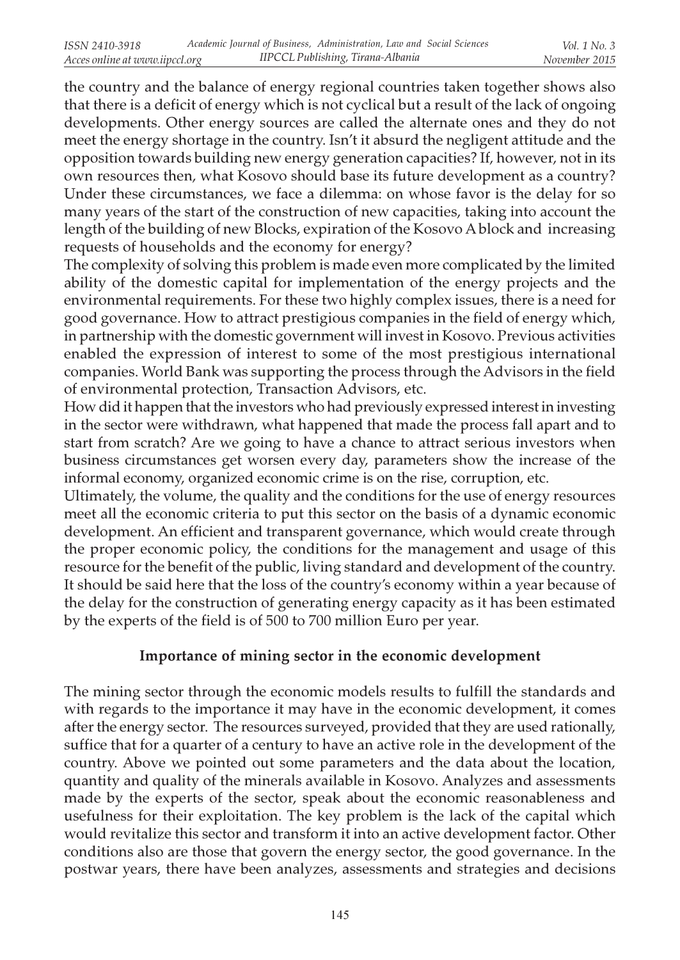the country and the balance of energy regional countries taken together shows also that there is a deficit of energy which is not cyclical but a result of the lack of ongoing developments. Other energy sources are called the alternate ones and they do not meet the energy shortage in the country. Isn't it absurd the negligent attitude and the opposition towards building new energy generation capacities? If, however, not in its own resources then, what Kosovo should base its future development as a country? Under these circumstances, we face a dilemma: on whose favor is the delay for so many years of the start of the construction of new capacities, taking into account the length of the building of new Blocks, expiration of the Kosovo A block and increasing requests of households and the economy for energy?

The complexity of solving this problem is made even more complicated by the limited ability of the domestic capital for implementation of the energy projects and the environmental requirements. For these two highly complex issues, there is a need for good governance. How to attract prestigious companies in the field of energy which, in partnership with the domestic government will invest in Kosovo. Previous activities enabled the expression of interest to some of the most prestigious international companies. World Bank was supporting the process through the Advisors in the field of environmental protection, Transaction Advisors, etc.

How did it happen that the investors who had previously expressed interest in investing in the sector were withdrawn, what happened that made the process fall apart and to start from scratch? Are we going to have a chance to attract serious investors when business circumstances get worsen every day, parameters show the increase of the informal economy, organized economic crime is on the rise, corruption, etc.

Ultimately, the volume, the quality and the conditions for the use of energy resources meet all the economic criteria to put this sector on the basis of a dynamic economic development. An efficient and transparent governance, which would create through the proper economic policy, the conditions for the management and usage of this resource for the benefit of the public, living standard and development of the country. It should be said here that the loss of the country's economy within a year because of the delay for the construction of generating energy capacity as it has been estimated by the experts of the field is of 500 to 700 million Euro per year.

# Importance of mining sector in the economic development

The mining sector through the economic models results to fulfill the standards and with regards to the importance it may have in the economic development, it comes after the energy sector. The resources surveyed, provided that they are used rationally, suffice that for a quarter of a century to have an active role in the development of the country. Above we pointed out some parameters and the data about the location, quantity and quality of the minerals available in Kosovo. Analyzes and assessments made by the experts of the sector, speak about the economic reasonableness and usefulness for their exploitation. The key problem is the lack of the capital which would revitalize this sector and transform it into an active development factor. Other conditions also are those that govern the energy sector, the good governance. In the postwar years, there have been analyzes, assessments and strategies and decisions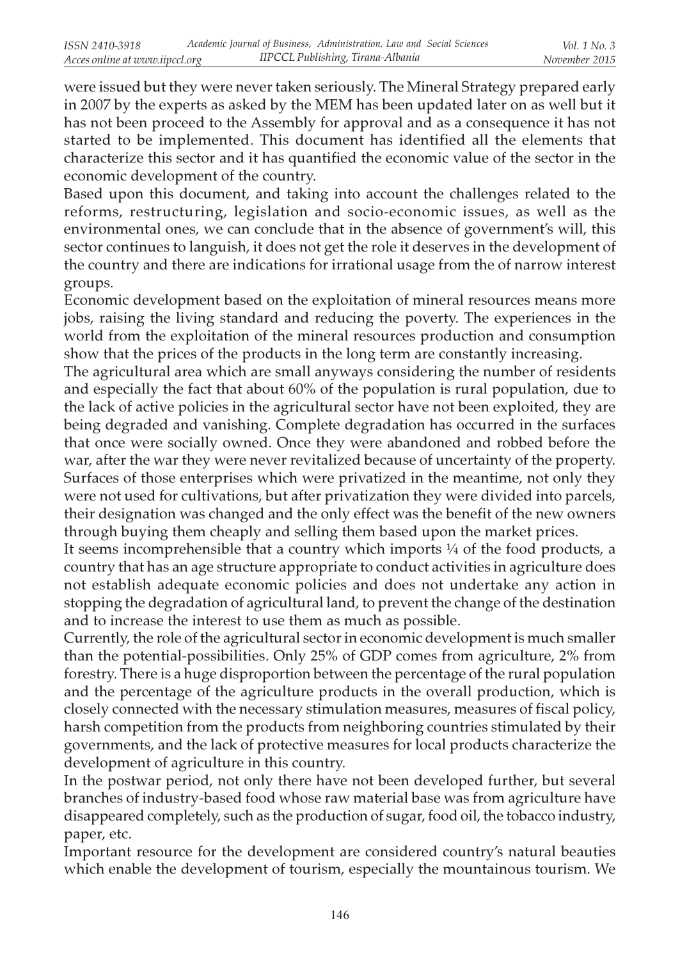were issued but they were never taken seriously. The Mineral Strategy prepared early in 2007 by the experts as asked by the MEM has been updated later on as well but it has not been proceed to the Assembly for approval and as a consequence it has not started to be implemented. This document has identified all the elements that characterize this sector and it has quantified the economic value of the sector in the economic development of the country.

Based upon this document, and taking into account the challenges related to the reforms, restructuring, legislation and socio-economic issues, as well as the environmental ones, we can conclude that in the absence of government's will, this sector continues to languish, it does not get the role it deserves in the development of the country and there are indications for irrational usage from the of narrow interest groups.

Economic development based on the exploitation of mineral resources means more jobs, raising the living standard and reducing the poverty. The experiences in the world from the exploitation of the mineral resources production and consumption show that the prices of the products in the long term are constantly increasing.

The agricultural area which are small anyways considering the number of residents and especially the fact that about 60% of the population is rural population, due to the lack of active policies in the agricultural sector have not been exploited, they are being degraded and vanishing. Complete degradation has occurred in the surfaces that once were socially owned. Once they were abandoned and robbed before the war, after the war they were never revitalized because of uncertainty of the property. Surfaces of those enterprises which were privatized in the meantime, not only they were not used for cultivations, but after privatization they were divided into parcels, their designation was changed and the only effect was the benefit of the new owners through buying them cheaply and selling them based upon the market prices.

It seems incomprehensible that a country which imports  $\frac{1}{4}$  of the food products, a country that has an age structure appropriate to conduct activities in agriculture does not establish adequate economic policies and does not undertake any action in stopping the degradation of agricultural land, to prevent the change of the destination and to increase the interest to use them as much as possible.

Currently, the role of the agricultural sector in economic development is much smaller than the potential-possibilities. Only 25% of GDP comes from agriculture, 2% from forestry. There is a huge disproportion between the percentage of the rural population and the percentage of the agriculture products in the overall production, which is closely connected with the necessary stimulation measures, measures of fiscal policy, harsh competition from the products from neighboring countries stimulated by their governments, and the lack of protective measures for local products characterize the development of agriculture in this country.

In the postwar period, not only there have not been developed further, but several branches of industry-based food whose raw material base was from agriculture have disappeared completely, such as the production of sugar, food oil, the tobacco industry, paper, etc.

Important resource for the development are considered country's natural beauties which enable the development of tourism, especially the mountainous tourism. We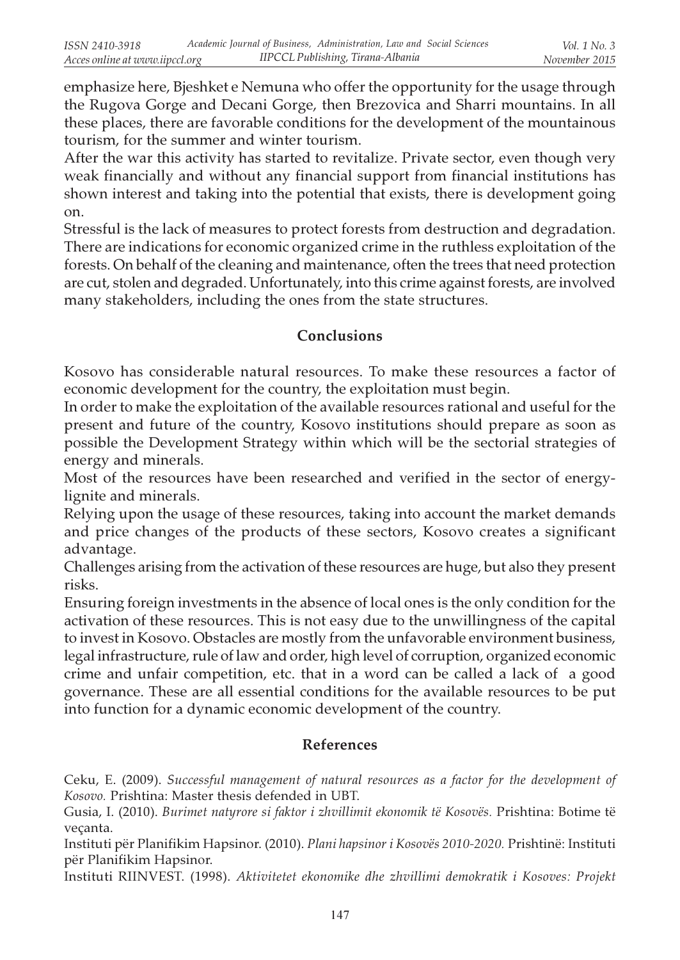emphasize here, Bjeshket e Nemuna who offer the opportunity for the usage through the Rugova Gorge and Decani Gorge, then Brezovica and Sharri mountains. In all these places, there are favorable conditions for the development of the mountainous tourism, for the summer and winter tourism.

After the war this activity has started to revitalize. Private sector, even though very weak financially and without any financial support from financial institutions has shown interest and taking into the potential that exists, there is development going on.

Stressful is the lack of measures to protect forests from destruction and degradation. There are indications for economic organized crime in the ruthless exploitation of the forests. On behalf of the cleaning and maintenance, often the trees that need protection are cut, stolen and degraded. Unfortunately, into this crime against forests, are involved many stakeholders, including the ones from the state structures.

### Conclusions

Kosovo has considerable natural resources. To make these resources a factor of economic development for the country, the exploitation must begin.

In order to make the exploitation of the available resources rational and useful for the present and future of the country, Kosovo institutions should prepare as soon as possible the Development Strategy within which will be the sectorial strategies of energy and minerals.

Most of the resources have been researched and verified in the sector of energylignite and minerals.

Relying upon the usage of these resources, taking into account the market demands and price changes of the products of these sectors, Kosovo creates a significant advantage.

Challenges arising from the activation of these resources are huge, but also they present risks.

Ensuring foreign investments in the absence of local ones is the only condition for the activation of these resources. This is not easy due to the unwillingness of the capital to invest in Kosovo. Obstacles are mostly from the unfavorable environment business, legal infrastructure, rule of law and order, high level of corruption, organized economic crime and unfair competition, etc. that in a word can be called a lack of a good governance. These are all essential conditions for the available resources to be put into function for a dynamic economic development of the country.

# References

Ceku, E. (2009). Successful management of natural resources as a factor for the development of Kosovo. Prishtina: Master thesis defended in UBT.

Gusia, I. (2010). Burimet natyrore si faktor i zhvillimit ekonomik të Kosovës. Prishtina: Botime të veçanta.

Instituti për Planifikim Hapsinor. (2010). Plani hapsinor i Kosovës 2010-2020. Prishtinë: Instituti për Planifikim Hapsinor.

Instituti RIINVEST. (1998). Aktivitetet ekonomike dhe zhvillimi demokratik i Kosoves: Projekt